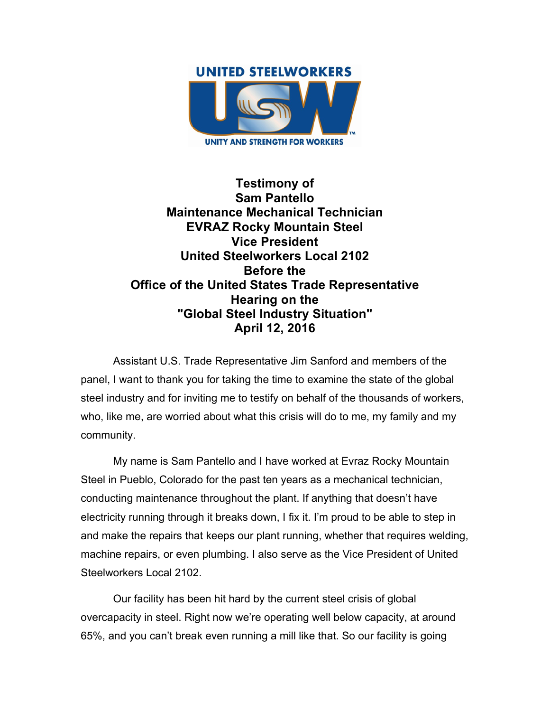

**Testimony of Sam Pantello Maintenance Mechanical Technician EVRAZ Rocky Mountain Steel Vice President United Steelworkers Local 2102 Before the Office of the United States Trade Representative Hearing on the "Global Steel Industry Situation" April 12, 2016**

Assistant U.S. Trade Representative Jim Sanford and members of the panel, I want to thank you for taking the time to examine the state of the global steel industry and for inviting me to testify on behalf of the thousands of workers, who, like me, are worried about what this crisis will do to me, my family and my community.

My name is Sam Pantello and I have worked at Evraz Rocky Mountain Steel in Pueblo, Colorado for the past ten years as a mechanical technician, conducting maintenance throughout the plant. If anything that doesn't have electricity running through it breaks down, I fix it. I'm proud to be able to step in and make the repairs that keeps our plant running, whether that requires welding, machine repairs, or even plumbing. I also serve as the Vice President of United Steelworkers Local 2102.

Our facility has been hit hard by the current steel crisis of global overcapacity in steel. Right now we're operating well below capacity, at around 65%, and you can't break even running a mill like that. So our facility is going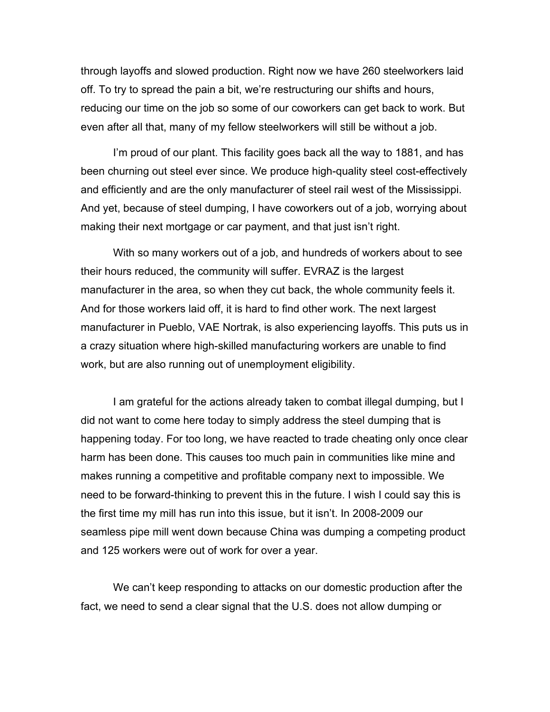through layoffs and slowed production. Right now we have 260 steelworkers laid off. To try to spread the pain a bit, we're restructuring our shifts and hours, reducing our time on the job so some of our coworkers can get back to work. But even after all that, many of my fellow steelworkers will still be without a job.

I'm proud of our plant. This facility goes back all the way to 1881, and has been churning out steel ever since. We produce high-quality steel cost-effectively and efficiently and are the only manufacturer of steel rail west of the Mississippi. And yet, because of steel dumping, I have coworkers out of a job, worrying about making their next mortgage or car payment, and that just isn't right.

With so many workers out of a job, and hundreds of workers about to see their hours reduced, the community will suffer. EVRAZ is the largest manufacturer in the area, so when they cut back, the whole community feels it. And for those workers laid off, it is hard to find other work. The next largest manufacturer in Pueblo, VAE Nortrak, is also experiencing layoffs. This puts us in a crazy situation where high-skilled manufacturing workers are unable to find work, but are also running out of unemployment eligibility.

I am grateful for the actions already taken to combat illegal dumping, but I did not want to come here today to simply address the steel dumping that is happening today. For too long, we have reacted to trade cheating only once clear harm has been done. This causes too much pain in communities like mine and makes running a competitive and profitable company next to impossible. We need to be forward-thinking to prevent this in the future. I wish I could say this is the first time my mill has run into this issue, but it isn't. In 2008-2009 our seamless pipe mill went down because China was dumping a competing product and 125 workers were out of work for over a year.

We can't keep responding to attacks on our domestic production after the fact, we need to send a clear signal that the U.S. does not allow dumping or